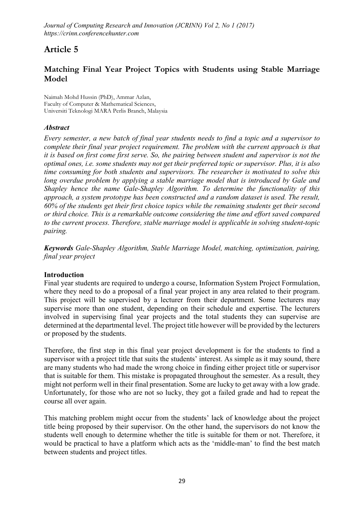# Article 5

## Matching Final Year Project Topics with Students using Stable Marriage Model

**Naimah Mohd Hussin (PhD), Ammar Azlan, Faculty of Computer & Mathematical Sciences, Universiti Teknologi MARA Perlis Branch, Malaysia**

### *Abstract*

*Every semester, a new batch of final year students needs to find a topic and a supervisor to complete their final year project requirement. The problem with the current approach is that it is based on first come first serve. So, the pairing between student and supervisor is not the optimal ones, i.e. some students may not get their preferred topic or supervisor. Plus, it is also time consuming for both students and supervisors. The researcher is motivated to solve this long overdue problem by applying a stable marriage model that is introduced by Gale and Shapley hence the name Gale-Shapley Algorithm. To determine the functionality of this approach, a system prototype has been constructed and a random dataset is used. The result, 60% of the students get their first choice topics while the remaining students get their second or third choice. This is a remarkable outcome considering the time and effort saved compared to the current process. Therefore, stable marriage model is applicable in solving student-topic pairing.*

*Keywords Gale-Shapley Algorithm, Stable Marriage Model, matching, optimization, pairing, final year project*

#### **Introduction**

Final year students are required to undergo a course, Information System Project Formulation, where they need to do a proposal of a final year project in any area related to their program. This project will be supervised by a lecturer from their department. Some lecturers may supervise more than one student, depending on their schedule and expertise. The lecturers involved in supervising final year projects and the total students they can supervise are determined at the departmental level. The project title however will be provided by the lecturers or proposed by the students.

Therefore, the first step in this final year project development is for the students to find a supervisor with a project title that suits the students' interest. As simple as it may sound, there are many students who had made the wrong choice in finding either project title or supervisor that is suitable for them. This mistake is propagated throughout the semester. As a result, they might not perform well in their final presentation. Some are lucky to get away with a low grade. Unfortunately, for those who are not so lucky, they got a failed grade and had to repeat the course all over again.

This matching problem might occur from the students' lack of knowledge about the project title being proposed by their supervisor. On the other hand, the supervisors do not know the students well enough to determine whether the title is suitable for them or not. Therefore, it would be practical to have a platform which acts as the 'middle-man' to find the best match between students and project titles.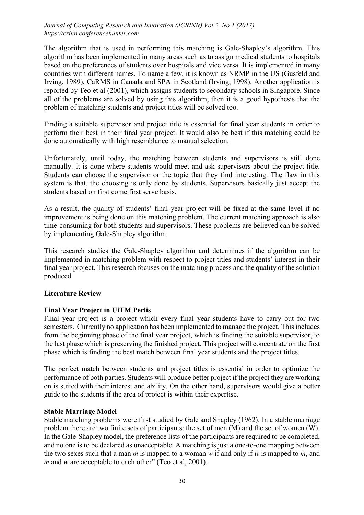The algorithm that is used in performing this matching is Gale-Shapley's algorithm. This algorithm has been implemented in many areas such as to assign medical students to hospitals based on the preferences of students over hospitals and vice versa. It is implemented in many countries with different names. To name a few, it is known as NRMP in the US (Gusfeld and Irving, 1989), CaRMS in Canada and SPA in Scotland (Irving, 1998). Another application is reported by Teo et al (2001), which assigns students to secondary schools in Singapore. Since all of the problems are solved by using this algorithm, then it is a good hypothesis that the problem of matching students and project titles will be solved too.

Finding a suitable supervisor and project title is essential for final year students in order to perform their best in their final year project. It would also be best if this matching could be done automatically with high resemblance to manual selection.

Unfortunately, until today, the matching between students and supervisors is still done manually. It is done where students would meet and ask supervisors about the project title. Students can choose the supervisor or the topic that they find interesting. The flaw in this system is that, the choosing is only done by students. Supervisors basically just accept the students based on first come first serve basis.

As a result, the quality of students' final year project will be fixed at the same level if no improvement is being done on this matching problem. The current matching approach is also time-consuming for both students and supervisors. These problems are believed can be solved by implementing Gale-Shapley algorithm.

This research studies the Gale-Shapley algorithm and determines if the algorithm can be implemented in matching problem with respect to project titles and students' interest in their final year project. This research focuses on the matching process and the quality of the solution produced.

## Literature Review

## Final Year Project in UiTM Perlis

Final year project is a project which every final year students have to carry out for two semesters. Currently no application has been implemented to manage the project. This includes from the beginning phase of the final year project, which is finding the suitable supervisor, to the last phase which is preserving the finished project. This project will concentrate on the first phase which is finding the best match between final year students and the project titles.

The perfect match between students and project titles is essential in order to optimize the performance of both parties. Students will produce better project if the project they are working on is suited with their interest and ability. On the other hand, supervisors would give a better guide to the students if the area of project is within their expertise.

#### Stable Marriage Model

Stable matching problems were first studied by Gale and Shapley (1962). In a stable marriage problem there are two finite sets of participants: the set of men (M) and the set of women (W). In the Gale-Shapley model, the preference lists of the participants are required to be completed, and no one is to be declared as unacceptable. A matching is just a one-to-one mapping between the two sexes such that a man *m* is mapped to a woman *w* if and only if *w* is mapped to *m*, and *m* and *w* are acceptable to each other" (Teo et al, 2001).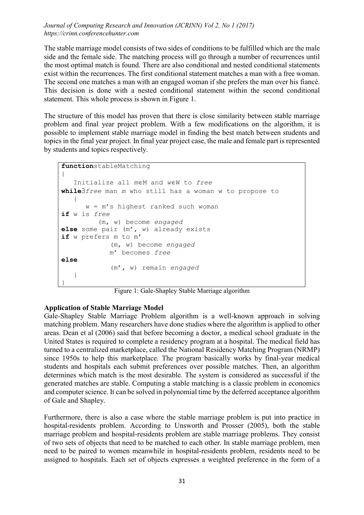The stable marriage model consists of two sides of conditions to be fulfilled which are the male side and the female side. The matching process will go through a number of recurrences until the most optimal match is found. There are also conditional and nested conditional statements exist within the recurrences. The first conditional statement matches a man with a free woman. The second one matches a man with an engaged woman if she prefers the man over his fiancé. This decision is done with a nested conditional statement within the second conditional statement. This whole process is shown in Figure 1.

The structure of this model has proven that there is close similarity between stable marriage problem and final year project problem. With a few modifications on the algorithm, it is possible to implement stable marriage model in finding the best match between students and topics in the final year project. In final year project case, the male and female part is represented by students and topics respectively.

```
functionstableMatching
{
   Initialize all meM and weW to free
whilefree man m who still has a woman w to propose to
\left\{\begin{array}{ccc} \end{array}\right\} w = m's highest ranked such woman
if w is free
            (m, w) become engaged
else some pair (m', w) already exists
if w prefers m to m'
               (m, w) become engaged
               m' becomes free
else
               (m', w) remain engaged
    }
}
```
Figure 1: Gale-Shapley Stable Marriage algorithm

#### Application of Stable Marriage Model

Gale-Shapley Stable Marriage Problem algorithm is a well-known approach in solving matching problem. Many researchers have done studies where the algorithm is applied to other areas. Dean et al (2006) said that before becoming a doctor, a medical school graduate in the United States is required to complete a residency program at a hospital. The medical field has turned to a centralized marketplace, called the National Residency Matching Program (NRMP) since 1950s to help this marketplace. The program basically works by final-year medical students and hospitals each submit preferences over possible matches. Then, an algorithm determines which match is the most desirable. The system is considered as successful if the generated matches are stable. Computing a stable matching is a classic problem in economics and computer science. It can be solved in polynomial time by the deferred acceptance algorithm of Gale and Shapley.

Furthermore, there is also a case where the stable marriage problem is put into practice in hospital-residents problem. According to Unsworth and Prosser (2005), both the stable marriage problem and hospital-residents problem are stable marriage problems. They consist of two sets of objects that need to be matched to each other. In stable marriage problem, men need to be paired to women meanwhile in hospital-residents problem, residents need to be assigned to hospitals. Each set of objects expresses a weighted preference in the form of a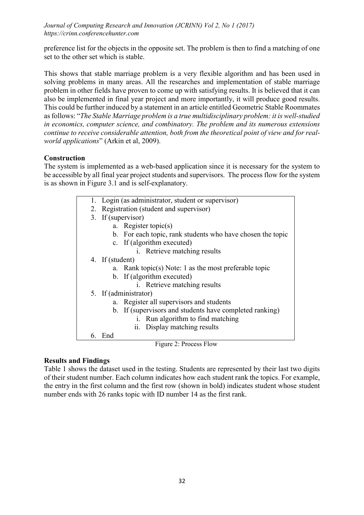preference list for the objects in the opposite set. The problem is then to find a matching of one set to the other set which is stable.

This shows that stable marriage problem is a very flexible algorithm and has been used in solving problems in many areas. All the researches and implementation of stable marriage problem in other fields have proven to come up with satisfying results. It is believed that it can also be implemented in final year project and more importantly, it will produce good results. This could be further induced by a statement in an article entitled Geometric Stable Roommates as follows: "*The Stable Marriage problem is a true multidisciplinary problem: it is well-studied in economics, computer science, and combinatory. The problem and its numerous extensions continue to receive considerable attention, both from the theoretical point of view and for realworld applications*" (Arkin et al, 2009).

## **Construction**

The system is implemented as a web-based application since it is necessary for the system to be accessible by all final year project students and supervisors. The process flow for the system is as shown in Figure 3.1 and is self-explanatory.

- 1. Login (as administrator, student or supervisor)
- 2. Registration (student and supervisor)
- 3. If (supervisor)
	- a. Register topic(s)
	- b. For each topic, rank students who have chosen the topic
	- c. If (algorithm executed)
		- i. Retrieve matching results
- 4. If (student)
	- a. Rank topic(s) Note: 1 as the most preferable topic
	- b. If (algorithm executed)
		- i. Retrieve matching results
- 5. If (administrator)
	- a. Register all supervisors and students
	- b. If (supervisors and students have completed ranking)
		- i. Run algorithm to find matching
			- ii. Display matching results

6. End

## Results and Findings

Table 1 shows the dataset used in the testing. Students are represented by their last two digits of their student number. Each column indicates how each student rank the topics. For example, the entry in the first column and the first row (shown in bold) indicates student whose student number ends with 26 ranks topic with ID number 14 as the first rank.

Figure 2: Process Flow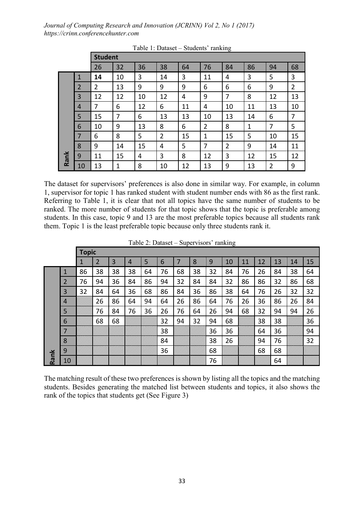|      |                | <b>Student</b> |    |    |                |    |                |    |    |                |                |  |  |  |  |
|------|----------------|----------------|----|----|----------------|----|----------------|----|----|----------------|----------------|--|--|--|--|
|      |                | 26             | 32 | 36 | 38             | 64 | 76             | 84 | 86 | 94             | 68             |  |  |  |  |
|      | 1              | 14             | 10 | 3  | 14             | 3  | 11             | 4  | 3  | 5              | 3              |  |  |  |  |
| Rank | $\overline{2}$ | $\overline{2}$ | 13 | 9  | 9              | 9  | 6              | 6  | 6  | 9              | $\overline{2}$ |  |  |  |  |
|      | 3              | 12             | 12 | 10 | 12             | 4  | 9              | 7  | 8  | 12             | 13             |  |  |  |  |
|      | 4              | 7              | 6  | 12 | 6              | 11 | 4              | 10 | 11 | 13             | 10             |  |  |  |  |
|      | 5              | 15             | 7  | 6  | 13             | 13 | 10             | 13 | 14 | 6              | 7              |  |  |  |  |
|      | 6              | 10             | 9  | 13 | 8              | 6  | $\overline{2}$ | 8  | 1  | 7              | 5              |  |  |  |  |
|      | 7              | 6              | 8  | 5  | $\overline{2}$ | 15 | 1              | 15 | 5  | 10             | 15             |  |  |  |  |
|      | 8              | 9              | 14 | 15 | 4              | 5  | 7              | 2  | 9  | 14             | 11             |  |  |  |  |
|      | 9              | 11             | 15 | 4  | 3              | 8  | 12             | 3  | 12 | 15             | 12             |  |  |  |  |
|      | 10             | 13             | 1  | 8  | 10             | 12 | 13             | 9  | 13 | $\overline{2}$ | 9              |  |  |  |  |

Table 1: Dataset – Students' ranking

The dataset for supervisors' preferences is also done in similar way. For example, in column 1, supervisor for topic 1 has ranked student with student number ends with 86 as the first rank. Referring to Table 1, it is clear that not all topics have the same number of students to be ranked. The more number of students for that topic shows that the topic is preferable among students. In this case, topic 9 and 13 are the most preferable topics because all students rank them. Topic 1 is the least preferable topic because only three students rank it.

|      |                | <b>Topic</b> |                |    |                |    |    |    |    |    |    |    |    |    |    |    |
|------|----------------|--------------|----------------|----|----------------|----|----|----|----|----|----|----|----|----|----|----|
|      |                | 1            | $\overline{2}$ | 3  | $\overline{4}$ | 5  | 6  | 7  | 8  | 9  | 10 | 11 | 12 | 13 | 14 | 15 |
| Rank | 1              | 86           | 38             | 38 | 38             | 64 | 76 | 68 | 38 | 32 | 84 | 76 | 26 | 84 | 38 | 64 |
|      | 2              | 76           | 94             | 36 | 84             | 86 | 94 | 32 | 84 | 84 | 32 | 86 | 86 | 32 | 86 | 68 |
|      | 3              | 32           | 84             | 64 | 36             | 68 | 86 | 84 | 36 | 86 | 38 | 64 | 76 | 26 | 32 | 32 |
|      | $\overline{4}$ |              | 26             | 86 | 64             | 94 | 64 | 26 | 86 | 64 | 76 | 26 | 36 | 86 | 26 | 84 |
|      | 5              |              | 76             | 84 | 76             | 36 | 26 | 76 | 64 | 26 | 94 | 68 | 32 | 94 | 94 | 26 |
|      | 6              |              | 68             | 68 |                |    | 32 | 94 | 32 | 94 | 68 |    | 38 | 38 |    | 36 |
|      | 7              |              |                |    |                |    | 38 |    |    | 36 | 36 |    | 64 | 36 |    | 94 |
|      | 8              |              |                |    |                |    | 84 |    |    | 38 | 26 |    | 94 | 76 |    | 32 |
|      | 9              |              |                |    |                |    | 36 |    |    | 68 |    |    | 68 | 68 |    |    |
|      | 10             |              |                |    |                |    |    |    |    | 76 |    |    |    | 64 |    |    |

Table 2: Dataset – Supervisors' ranking

The matching result of these two preferences is shown by listing all the topics and the matching students. Besides generating the matched list between students and topics, it also shows the rank of the topics that students get (See Figure 3)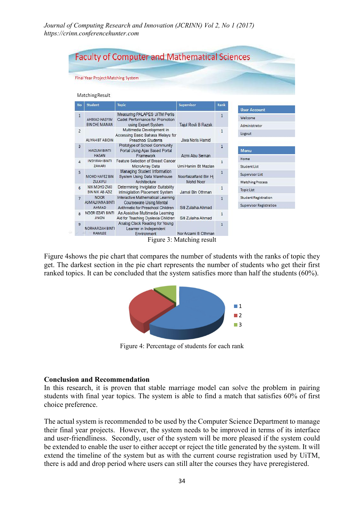|                                      | <b>Final Year Project Matching System</b>                                                                |                                                                              |                                     |                      |                         |
|--------------------------------------|----------------------------------------------------------------------------------------------------------|------------------------------------------------------------------------------|-------------------------------------|----------------------|-------------------------|
|                                      |                                                                                                          |                                                                              |                                     |                      |                         |
|                                      | Matching Result                                                                                          |                                                                              |                                     |                      |                         |
| No                                   | <b>Student</b>                                                                                           | <b>Topic</b>                                                                 | <b>Supervisor</b>                   | Rank                 |                         |
| $\mathbf{1}$                         |                                                                                                          | Measuring PALAPES UITM Perlis                                                |                                     |                      | <b>User Account</b>     |
|                                      | AHMAD HASYIM                                                                                             | Cadet Performance for Promotion                                              |                                     | 1                    | Welcome                 |
|                                      | <b>BIN CHE MANAN</b>                                                                                     | using Expert System                                                          | Tajul Rosli B Razak                 |                      | Administrator           |
| $\overline{2}$                       | Multimedia Development in<br>Accessing Basic Bahasa Melayu for<br>Preschool Students<br>ALIYAH BT ABIDIN |                                                                              | Jiwa Noris Hamid                    | $\mathbf{1}$         | Logout                  |
| 3                                    | <b>HAIZUM BINTI</b><br><b>HASAN</b>                                                                      | Prototype of School Community<br>Portal Using Ajax Based Portal<br>Framework | Azmi Abu Seman                      | 1                    | Menu                    |
| 4                                    | <b>INSYIRAH BINTI</b>                                                                                    | Feature Selection of Breast Cancer                                           |                                     | $\mathbf{1}$         | Home                    |
|                                      | <b>ZAHARI</b>                                                                                            | MicroArray Data                                                              | Umi Hanim Bt Mazlan                 |                      | <b>Student List</b>     |
| 5                                    |                                                                                                          | Managing Student Information                                                 |                                     | $\mathbf{1}$         | Supervisor List         |
|                                      | MOHD HAFEZ BIN<br><b>ZULKIFLI</b>                                                                        | System Using Data Warehouse<br>Architecture                                  | Noorfaizalfarid Bin Hj<br>Mohd Noor |                      | Matching Process        |
| 6                                    | NIK MOHD ZAKI<br><b>BIN NIK AB AZIZ</b>                                                                  | Determining Invigilatior Suitability<br>inInvigilation Placement System      | Jamal Bin Othman                    | 1                    | <b>TopicList</b>        |
| <b>NOOR</b><br>7<br>ASMALIYANA BINTI | Interactive Mathematical Learning                                                                        |                                                                              | 1                                   | Student Registration |                         |
|                                      | <b>AHMAD</b>                                                                                             | Courseware Using Mental<br>Arithmetic for Preschool Children                 | Siti Zulaiha Ahmad                  |                      | Supervisor Registration |
| 8                                    | NOOR IZZATI BINTI<br><b>JINON</b>                                                                        | An Assistive Multimedia Learning<br>Aid for Teaching Dyslexia Children       | Siti Zulaiha Ahmad                  | 1                    |                         |
| 9                                    | <b>NORHAFIZAH BINTI</b><br>RAMLEE                                                                        | Analog Clock Reading for Young<br>Learner in Independent                     | Nor Arzami B Othman                 | $\mathbf{1}$         |                         |

Figure 3: Matching result

Figure 4shows the pie chart that compares the number of students with the ranks of topic they get. The darkest section in the pie chart represents the number of students who get their first ranked topics. It can be concluded that the system satisfies more than half the students (60%).



Figure 4: Percentage of students for each rank

#### Conclusion and Recommendation

In this research, it is proven that stable marriage model can solve the problem in pairing students with final year topics. The system is able to find a match that satisfies 60% of first choice preference.

The actual system is recommended to be used by the Computer Science Department to manage their final year projects. However, the system needs to be improved in terms of its interface and user-friendliness. Secondly, user of the system will be more pleased if the system could be extended to enable the user to either accept or reject the title generated by the system. It will extend the timeline of the system but as with the current course registration used by UiTM, there is add and drop period where users can still alter the courses they have preregistered.